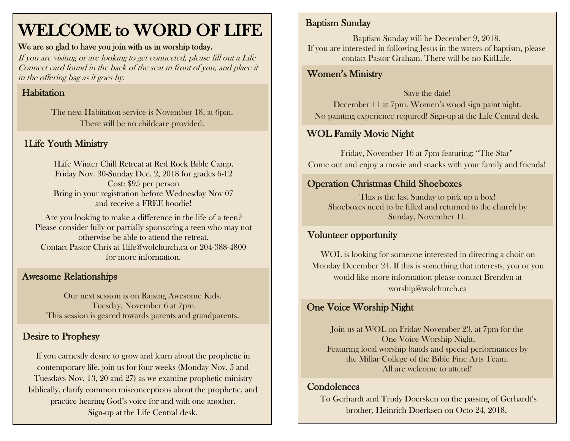# WELCOME to WORD OF LIFE

#### We are so glad to have you join with us in worship today.

If you are visiting or are looking to get connected, please fill out a Life Connect card found in the back of the seat in front of you, and place it in the offering bag as it goes by.

# Habitation

The next Habitation service is November 18, at 6pm. There will be no childcare provided.

## 1Life Youth Ministry

1Life Winter Chill Retreat at Red Rock Bible Camp. Friday Nov. 30-Sunday Dec. 2, 2018 for grades 6-12 Cost: \$95 per person Bring in your registration before Wednesday Nov 07 and receive a FREE hoodie!

Are you looking to make a difference in the life of a teen? Please consider fully or partially sponsoring a teen who may not otherwise be able to attend the retreat. Contact Pastor Chris at 1life@wolchurch.ca or 204-388-4800 for more information.

#### Awesome Relationships

Our next session is on Raising Awesome Kids. Tuesday, November 6 at 7pm. This session is geared towards parents and grandparents.

#### Desire to Prophesy

If you earnestly desire to grow and learn about the prophetic in contemporary life, join us for four weeks (Monday Nov. 5 and Tuesdays Nov. 13, 20 and 27) as we examine prophetic ministry biblically, clarify common misconceptions about the prophetic, and practice hearing God's voice for and with one another. Sign-up at the Life Central desk.

## Baptism Sunday

Baptism Sunday will be December 9, 2018. If you are interested in following Jesus in the waters of baptism, please contact Pastor Graham. There will be no KidLife.

## Women's Ministry

Save the date! December 11 at 7pm. Women's wood sign paint night. No painting experience required! Sign-up at the Life Central desk.

#### WOL Family Movie Night

Friday, November 16 at 7pm featuring: "The Star" Come out and enjoy a movie and snacks with your family and friends!

## Operation Christmas Child Shoeboxes

This is the last Sunday to pick up a box! Shoeboxes need to be filled and returned to the church by Sunday, November 11.

#### Volunteer opportunity

WOL is looking for someone interested in directing a choir on Monday December 24. If this is something that interests, you or you would like more information please contact Brendyn at [worship@wolchurch.ca](mailto:worship@wolchurch.ca)

#### One Voice Worship Night

Join us at WOL on Friday November 23, at 7pm for the One Voice Worship Night. Featuring local worship bands and special performances by the Millar College of the Bible Fine Arts Team. All are welcome to attend!

#### **Condolences**

 $\overline{a}$ 

 To Gerhardt and Trudy Doersken on the passing of Gerhardt's brother, Heinrich Doerksen on Octo 24, 2018.